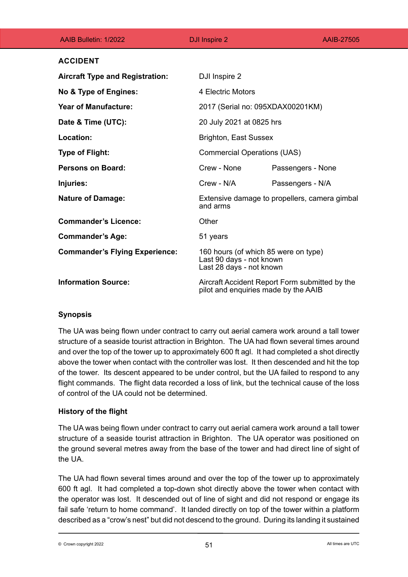| AAIB Bulletin: 1/2022                  | DJI Inspire 2     | AAIB-27505                                                                                   |  |
|----------------------------------------|-------------------|----------------------------------------------------------------------------------------------|--|
| <b>ACCIDENT</b>                        |                   |                                                                                              |  |
| <b>Aircraft Type and Registration:</b> | DJI Inspire 2     |                                                                                              |  |
| No & Type of Engines:                  | 4 Electric Motors |                                                                                              |  |
| <b>Year of Manufacture:</b>            |                   | 2017 (Serial no: 095XDAX00201KM)                                                             |  |
| Date & Time (UTC):                     |                   | 20 July 2021 at 0825 hrs                                                                     |  |
| Location:                              |                   | <b>Brighton, East Sussex</b>                                                                 |  |
| <b>Type of Flight:</b>                 |                   | <b>Commercial Operations (UAS)</b>                                                           |  |
| <b>Persons on Board:</b>               | Crew - None       | Passengers - None                                                                            |  |
| Injuries:                              | Crew - N/A        | Passengers - N/A                                                                             |  |
| <b>Nature of Damage:</b>               | and arms          | Extensive damage to propellers, camera gimbal                                                |  |
| <b>Commander's Licence:</b>            | Other             |                                                                                              |  |
| <b>Commander's Age:</b>                | 51 years          |                                                                                              |  |
| <b>Commander's Flying Experience:</b>  |                   | 160 hours (of which 85 were on type)<br>Last 90 days - not known<br>Last 28 days - not known |  |
| <b>Information Source:</b>             |                   | Aircraft Accident Report Form submitted by the<br>pilot and enquiries made by the AAIB       |  |

## **Synopsis**

The UA was being flown under contract to carry out aerial camera work around a tall tower structure of a seaside tourist attraction in Brighton. The UA had flown several times around and over the top of the tower up to approximately 600 ft agl. It had completed a shot directly above the tower when contact with the controller was lost. It then descended and hit the top of the tower. Its descent appeared to be under control, but the UA failed to respond to any flight commands. The flight data recorded a loss of link, but the technical cause of the loss of control of the UA could not be determined.

## **History of the flight**

The UA was being flown under contract to carry out aerial camera work around a tall tower structure of a seaside tourist attraction in Brighton. The UA operator was positioned on the ground several metres away from the base of the tower and had direct line of sight of the UA.

The UA had flown several times around and over the top of the tower up to approximately 600 ft agl. It had completed a top-down shot directly above the tower when contact with the operator was lost. It descended out of line of sight and did not respond or engage its fail safe 'return to home command'. It landed directly on top of the tower within a platform described as a "crow's nest" but did not descend to the ground. During its landing it sustained